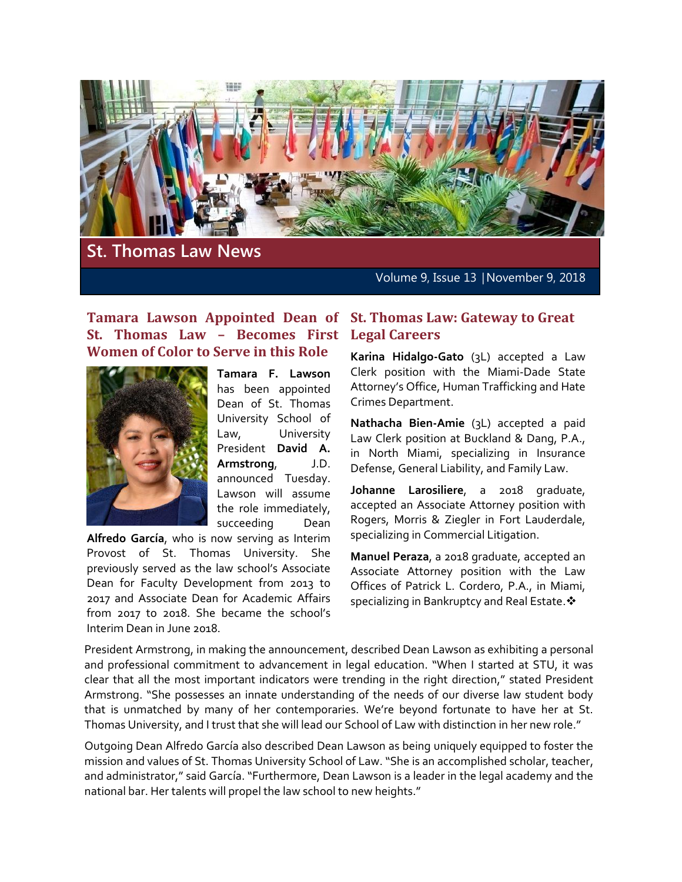

**St. Thomas Law News**

Volume 9, Issue 13 │November 9, 2018

### **Tamara Lawson Appointed Dean of St. Thomas Law: Gateway to Great St. Thomas Law – Becomes First Women of Color to Serve in this Role**



**Tamara F. Lawson** has been appointed Dean of St. Thomas University School of Law, University President **David A. Armstrong**, J.D. announced Tuesday. Lawson will assume the role immediately, succeeding Dean

**Alfredo García**, who is now serving as Interim Provost of St. Thomas University. She previously served as the law school's Associate Dean for Faculty Development from 2013 to 2017 and Associate Dean for Academic Affairs from 2017 to 2018. She became the school's Interim Dean in June 2018.

# **Legal Careers**

**Karina Hidalgo-Gato** (3L) accepted a Law Clerk position with the Miami-Dade State Attorney's Office, Human Trafficking and Hate Crimes Department.

**Nathacha Bien-Amie** (3L) accepted a paid Law Clerk position at Buckland & Dang, P.A., in North Miami, specializing in Insurance Defense, General Liability, and Family Law.

**Johanne Larosiliere**, a 2018 graduate, accepted an Associate Attorney position with Rogers, Morris & Ziegler in Fort Lauderdale, specializing in Commercial Litigation.

**Manuel Peraza**, a 2018 graduate, accepted an Associate Attorney position with the Law Offices of Patrick L. Cordero, P.A., in Miami, specializing in Bankruptcy and Real Estate.  $\clubsuit$ 

President Armstrong, in making the announcement, described Dean Lawson as exhibiting a personal and professional commitment to advancement in legal education. "When I started at STU, it was clear that all the most important indicators were trending in the right direction," stated President Armstrong. "She possesses an innate understanding of the needs of our diverse law student body that is unmatched by many of her contemporaries. We're beyond fortunate to have her at St. Thomas University, and I trust that she will lead our School of Law with distinction in her new role."

Outgoing Dean Alfredo García also described Dean Lawson as being uniquely equipped to foster the mission and values of St. Thomas University School of Law. "She is an accomplished scholar, teacher, and administrator," said García. "Furthermore, Dean Lawson is a leader in the legal academy and the national bar. Her talents will propel the law school to new heights."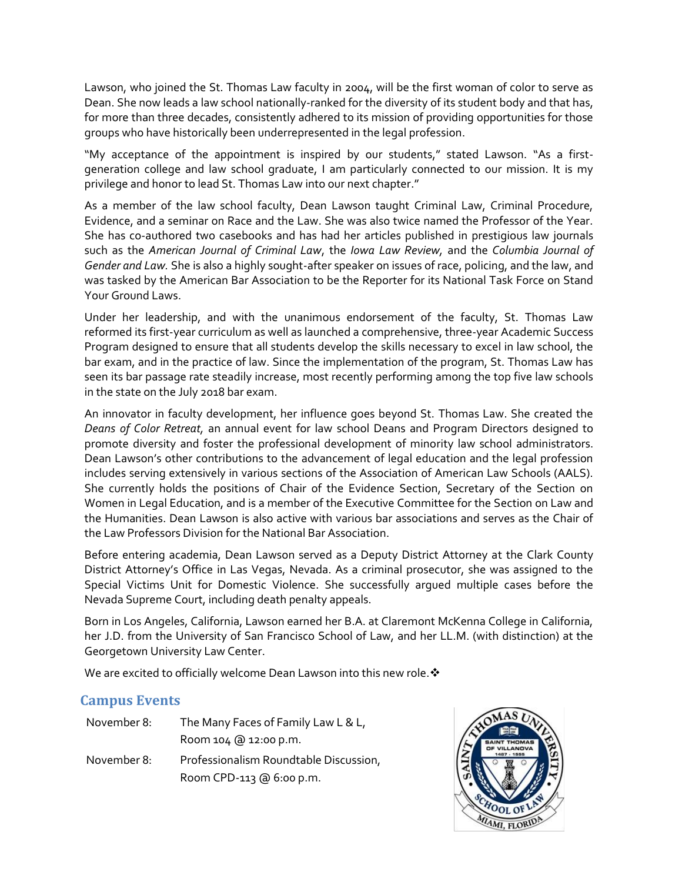Lawson, who joined the St. Thomas Law faculty in 2004, will be the first woman of color to serve as Dean. She now leads a law school nationally-ranked for the diversity of its student body and that has, for more than three decades, consistently adhered to its mission of providing opportunities for those groups who have historically been underrepresented in the legal profession.

"My acceptance of the appointment is inspired by our students," stated Lawson. "As a firstgeneration college and law school graduate, I am particularly connected to our mission. It is my privilege and honor to lead St. Thomas Law into our next chapter."

As a member of the law school faculty, Dean Lawson taught Criminal Law, Criminal Procedure, Evidence, and a seminar on Race and the Law. She was also twice named the Professor of the Year. She has co-authored two casebooks and has had her articles published in prestigious law journals such as the *American Journal of Criminal Law*, the *Iowa Law Review,* and the *Columbia Journal of Gender and Law.* She is also a highly sought-after speaker on issues of race, policing, and the law, and was tasked by the American Bar Association to be the Reporter for its National Task Force on Stand Your Ground Laws.

Under her leadership, and with the unanimous endorsement of the faculty, St. Thomas Law reformed its first-year curriculum as well as launched a comprehensive, three-year Academic Success Program designed to ensure that all students develop the skills necessary to excel in law school, the bar exam, and in the practice of law. Since the implementation of the program, St. Thomas Law has seen its bar passage rate steadily increase, most recently performing among the top five law schools in the state on the July 2018 bar exam.

An innovator in faculty development, her influence goes beyond St. Thomas Law. She created the *Deans of Color Retreat,* an annual event for law school Deans and Program Directors designed to promote diversity and foster the professional development of minority law school administrators. Dean Lawson's other contributions to the advancement of legal education and the legal profession includes serving extensively in various sections of the Association of American Law Schools (AALS). She currently holds the positions of Chair of the Evidence Section, Secretary of the Section on Women in Legal Education, and is a member of the Executive Committee for the Section on Law and the Humanities. Dean Lawson is also active with various bar associations and serves as the Chair of the Law Professors Division for the National Bar Association.

Before entering academia, Dean Lawson served as a Deputy District Attorney at the Clark County District Attorney's Office in Las Vegas, Nevada. As a criminal prosecutor, she was assigned to the Special Victims Unit for Domestic Violence. She successfully argued multiple cases before the Nevada Supreme Court, including death penalty appeals.

Born in Los Angeles, California, Lawson earned her B.A. at Claremont McKenna College in California, her J.D. from the University of San Francisco School of Law, and her LL.M. (with distinction) at the Georgetown University Law Center.

We are excited to officially welcome Dean Lawson into this new role.  $\cdot$ 

#### **Campus Events**

| November 8: | The Many Faces of Family Law L & L,    |
|-------------|----------------------------------------|
|             | Room 104 @ 12:00 p.m.                  |
| November 8: | Professionalism Roundtable Discussion, |
|             | Room CPD-113 @ 6:00 p.m.               |

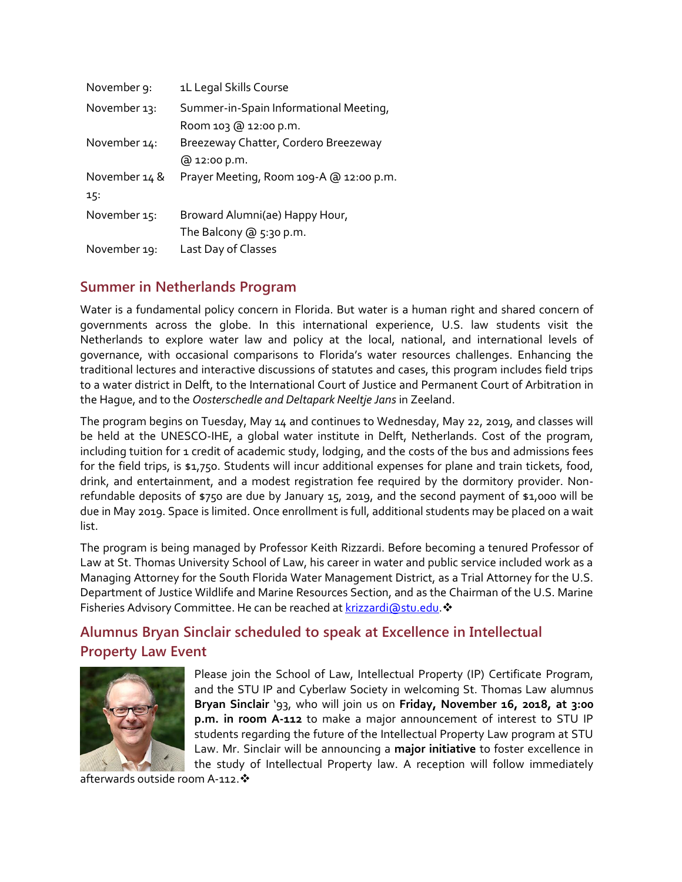| November 9:   | 1L Legal Skills Course                  |
|---------------|-----------------------------------------|
| November 13:  | Summer-in-Spain Informational Meeting,  |
|               | Room 103 @ 12:00 p.m.                   |
| November 14:  | Breezeway Chatter, Cordero Breezeway    |
|               | @ 12:00 p.m.                            |
| November 14 & | Prayer Meeting, Room 109-A @ 12:00 p.m. |
| 15:           |                                         |
| November 15:  | Broward Alumni(ae) Happy Hour,          |
|               | The Balcony $@5:30 p.m.$                |
| November 19:  | Last Day of Classes                     |

## **Summer in Netherlands Program**

Water is a fundamental policy concern in Florida. But water is a human right and shared concern of governments across the globe. In this international experience, U.S. law students visit the Netherlands to explore water law and policy at the local, national, and international levels of governance, with occasional comparisons to Florida's water resources challenges. Enhancing the traditional lectures and interactive discussions of statutes and cases, this program includes field trips to a water district in Delft, to the International Court of Justice and Permanent Court of Arbitration in the Hague, and to the *Oosterschedle and Deltapark Neeltje Jans* in Zeeland.

The program begins on Tuesday, May 14 and continues to Wednesday, May 22, 2019, and classes will be held at the UNESCO-IHE, a global water institute in Delft, Netherlands. Cost of the program, including tuition for 1 credit of academic study, lodging, and the costs of the bus and admissions fees for the field trips, is \$1,750. Students will incur additional expenses for plane and train tickets, food, drink, and entertainment, and a modest registration fee required by the dormitory provider. Nonrefundable deposits of \$750 are due by January 15, 2019, and the second payment of \$1,000 will be due in May 2019. Space is limited. Once enrollment is full, additional students may be placed on a wait list.

The program is being managed by Professor Keith Rizzardi. Before becoming a tenured Professor of Law at St. Thomas University School of Law, his career in water and public service included work as a Managing Attorney for the South Florida Water Management District, as a Trial Attorney for the U.S. Department of Justice Wildlife and Marine Resources Section, and as the Chairman of the U.S. Marine Fisheries Advisory Committee. He can be reached at [krizzardi@stu.edu.](mailto:krizzardi@stu.edu) \*

# **Alumnus Bryan Sinclair scheduled to speak at Excellence in Intellectual Property Law Event**



Please join the School of Law, Intellectual Property (IP) Certificate Program, and the STU IP and Cyberlaw Society in welcoming St. Thomas Law alumnus **Bryan Sinclair** '93, who will join us on **Friday, November 16, 2018, at 3:00 p.m. in room A-112** to make a major announcement of interest to STU IP students regarding the future of the Intellectual Property Law program at STU Law. Mr. Sinclair will be announcing a **major initiative** to foster excellence in the study of Intellectual Property law. A reception will follow immediately

afterwards outside room A-112. \*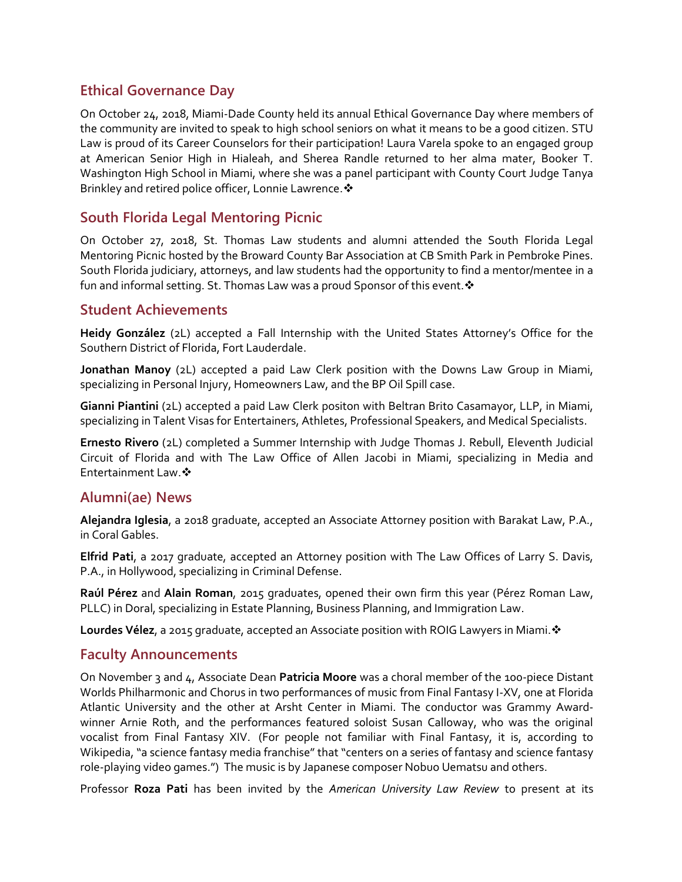#### **Ethical Governance Day**

On October 24, 2018, Miami-Dade County held its annual Ethical Governance Day where members of the community are invited to speak to high school seniors on what it means to be a good citizen. STU Law is proud of its Career Counselors for their participation! Laura Varela spoke to an engaged group at American Senior High in Hialeah, and Sherea Randle returned to her alma mater, Booker T. Washington High School in Miami, where she was a panel participant with County Court Judge Tanya Brinkley and retired police officer, Lonnie Lawrence.

#### **South Florida Legal Mentoring Picnic**

On October 27, 2018, St. Thomas Law students and alumni attended the South Florida Legal Mentoring Picnic hosted by the Broward County Bar Association at CB Smith Park in Pembroke Pines. South Florida judiciary, attorneys, and law students had the opportunity to find a mentor/mentee in a fun and informal setting. St. Thomas Law was a proud Sponsor of this event.  $\mathbf{\hat{v}}$ 

#### **Student Achievements**

**Heidy González** (2L) accepted a Fall Internship with the United States Attorney's Office for the Southern District of Florida, Fort Lauderdale.

**Jonathan Manoy** (2L) accepted a paid Law Clerk position with the Downs Law Group in Miami, specializing in Personal Injury, Homeowners Law, and the BP Oil Spill case.

**Gianni Piantini** (2L) accepted a paid Law Clerk positon with Beltran Brito Casamayor, LLP, in Miami, specializing in Talent Visas for Entertainers, Athletes, Professional Speakers, and Medical Specialists.

**Ernesto Rivero** (2L) completed a Summer Internship with Judge Thomas J. Rebull, Eleventh Judicial Circuit of Florida and with The Law Office of Allen Jacobi in Miami, specializing in Media and Entertainment Law.

#### **Alumni(ae) News**

**Alejandra Iglesia**, a 2018 graduate, accepted an Associate Attorney position with Barakat Law, P.A., in Coral Gables.

**Elfrid Pati**, a 2017 graduate, accepted an Attorney position with The Law Offices of Larry S. Davis, P.A., in Hollywood, specializing in Criminal Defense.

**Raúl Pérez** and **Alain Roman**, 2015 graduates, opened their own firm this year (Pérez Roman Law, PLLC) in Doral, specializing in Estate Planning, Business Planning, and Immigration Law.

**Lourdes Vélez, a 2015 graduate, accepted an Associate position with ROIG Lawyers in Miami. ❖** 

#### **Faculty Announcements**

On November 3 and 4, Associate Dean **Patricia Moore** was a choral member of the 100-piece Distant Worlds Philharmonic and Chorus in two performances of music from Final Fantasy I-XV, one at Florida Atlantic University and the other at Arsht Center in Miami. The conductor was Grammy Awardwinner Arnie Roth, and the performances featured soloist Susan Calloway, who was the original vocalist from Final Fantasy XIV. (For people not familiar with Final Fantasy, it is, according to Wikipedia, "a science fantasy media franchise" that "centers on a series of fantasy and science fantasy role-playing video games.") The music is by Japanese composer Nobuo Uematsu and others.

Professor **Roza Pati** has been invited by the *American University Law Review* to present at its